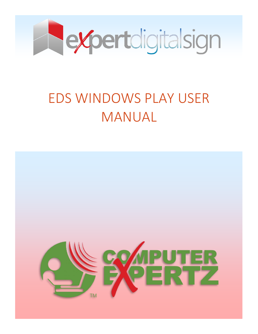

# EDS WINDOWS PLAY USER MANUAL

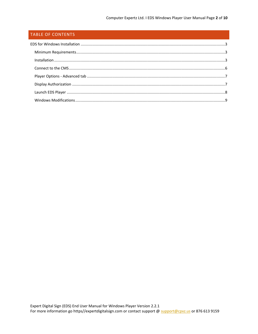# TABLE OF CONTENTS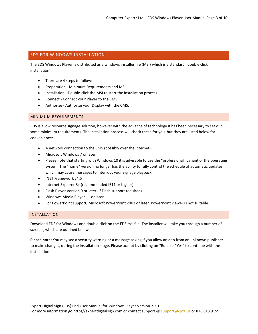# <span id="page-2-0"></span>EDS FOR WINDOWS INSTALLATION

The EDS Windows Player is distributed as a windows installer file (MSI) which is a standard "double click" installation.

- There are 4 steps to follow:
- **•** Preparation Minimum Requirements and MSI
- Installation Double-click the MSI to start the installation process.
- Connect Connect your Player to the CMS.
- Authorize Authorize your Display with the CMS.

#### <span id="page-2-1"></span>MINIMUM REQUIREMENTS

EDS is a low resource signage solution, however with the advance of technology it has been necessary to set out some minimum requirements. The installation process will check these for you, but they are listed below for convenience:

- A network connection to the CMS (possibly over the Internet)
- Microsoft Windows 7 or later
- Please note that starting with Windows 10 it is advisable to use the "professional" variant of the operating system. The "home" version no longer has the ability to fully control the schedule of automatic updates which may cause messages to interrupt your signage playback.
- .NET Framework v4.5
- Internet Explorer 8+ (recommended IE11 or higher)
- Flash Player Version 9 or later (if Flash support required)
- Windows Media Player 11 or later
- For PowerPoint support, Microsoft PowerPoint 2003 or later. PowerPoint viewer is not suitable.

#### <span id="page-2-2"></span>INSTALLATION

Download EDS for Windows and double click on the EDS msi file. The installer will take you through a number of screens, which are outlined below.

**Please note:** You may see a security warning or a message asking if you allow an app from an unknown publisher to make changes, during the installation stage. Please accept by clicking on "Run" or "Yes" to continue with the installation.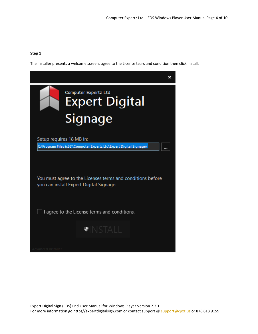### **Step 1**

The installer presents a welcome screen, agree to the License tears and condition then click install.

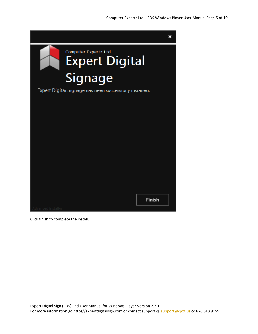

Click finish to complete the install.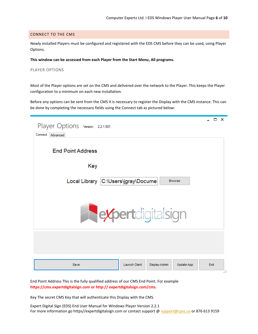#### <span id="page-5-0"></span>CONNECT TO THE CMS

Newly installed Players must be configured and registered with the EDS CMS before they can be used, using Player Options.

#### **This window can be accessed from each Player from the Start Menu, All programs.**

#### PLAYER OPTIONS

Most of the Player options are set on the CMS and delivered over the network to the Player. This keeps the Player configuration to a minimum on each new installation.

Before any options can be sent from the CMS it is necessary to register the Display with the CMS instance. This can be done by completing the necessary fields using the Connect tab as pictured below:

| Player Options Version: 2.2.1.501<br>Connect Advanced       | - 0 X |
|-------------------------------------------------------------|-------|
| <b>End Point Address</b>                                    |       |
| Key                                                         |       |
| Local Library C:\Users\jgray\Docume<br><b>Browse</b>        |       |
|                                                             |       |
| <b>Reviertdigitalsign</b>                                   |       |
|                                                             |       |
|                                                             |       |
| <b>Launch Client</b><br>Display Admin<br>Update App<br>Save | Exit  |

End Point Address This is the fully qualified address of our CMS End Point. For example **https://cms.expertdigitalsign.com or http:// expertdigitalsign.com/cms.**

Key The secret CMS Key that will authenticate this Display with the CMS.

Expert Digital Sign (EDS) End User Manual for Windows Player Version 2.2.1 For more information go https//expertdigitalsign.com or contact support @ support @cpxz.us or 876 613 9159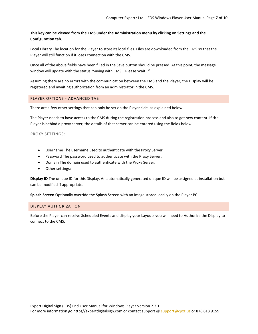# **This key can be viewed from the CMS under the Administration menu by clicking on Settings and the Configuration tab.**

Local Library The location for the Player to store its local files. Files are downloaded from the CMS so that the Player will still function if it loses connection with the CMS.

Once all of the above fields have been filled in the Save button should be pressed. At this point, the message window will update with the status "Saving with CMS… Please Wait…"

Assuming there are no errors with the communication between the CMS and the Player, the Display will be registered and awaiting authorization from an administrator in the CMS.

#### <span id="page-6-0"></span>PLAYER OPTIONS - ADVANCED TAB

There are a few other settings that can only be set on the Player side, as explained below:

The Player needs to have access to the CMS during the registration process and also to get new content. If the Player is behind a proxy server, the details of that server can be entered using the fields below.

#### PROXY SETTINGS:

- Username The username used to authenticate with the Proxy Server.
- Password The password used to authenticate with the Proxy Server.
- Domain The domain used to authenticate with the Proxy Server.
- Other settings:

**Display ID** The unique ID for this Display. An automatically generated unique ID will be assigned at installation but can be modified if appropriate.

**Splash Screen** Optionally override the Splash Screen with an image stored locally on the Player PC.

#### <span id="page-6-1"></span>DISPLAY AUTHORIZATION

Before the Player can receive Scheduled Events and display your Layouts you will need to Authorize the Display to connect to the CMS.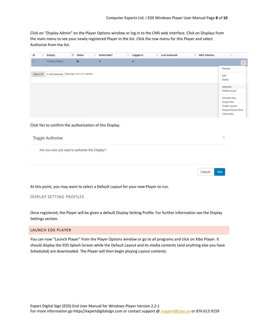Cancel

Yes

Click on "Display Admin" on the Player Options window or log in to the CMS web interface. Click on Displays from the main menu to see your newly registered Player in the list. Click the row-menu for this Player and select Authorize from the list.

| ID |            | 11 | Display                                     | IL Status | 11 | Authorised?    | IT Logged In | IT Last Accessed | IT MAC Address | 1T                             |
|----|------------|----|---------------------------------------------|-----------|----|----------------|--------------|------------------|----------------|--------------------------------|
| з  |            |    | Windows Display                             | $\bullet$ |    | $\pmb{\times}$ | ×            |                  |                | $\mathbf{v}$                   |
|    |            |    |                                             |           |    |                |              |                  |                | Manage                         |
|    | Select All |    | . With Selected Showing 1 to 1 of 1 entries |           |    |                |              |                  |                | Edit<br>Delete                 |
|    |            |    |                                             |           |    |                |              |                  |                | Authorise                      |
|    |            |    |                                             |           |    |                |              |                  |                | Default Layout                 |
|    |            |    |                                             |           |    |                |              |                  |                | Schedule Now                   |
|    |            |    |                                             |           |    |                |              |                  |                | Assign Files<br>Assign Layouts |
|    |            |    |                                             |           |    |                |              |                  |                | Request Screen Shot            |
|    |            |    |                                             |           |    |                |              |                  |                | <b>Collect Now</b>             |
|    |            |    |                                             |           |    |                |              |                  |                |                                |

Click Yes to confirm the authorization of this Display.

| <b>Toggle Authorise</b>                          |  |
|--------------------------------------------------|--|
| Are you sure you want to authorise this Display? |  |
|                                                  |  |

At this point, you may want to select a Default Layout for your new Player to run.

DISPLAY SETTING PROFILES

Once registered, the Player will be given a default Display Setting Profile. For further information see the Display Settings section.

# <span id="page-7-0"></span>LAUNCH EDS PLAYER

You can now "Launch Player" from the Player Options window or go to all programs and click on Xibo Player. It should display the EDS Splash Screen while the Default Layout and its media contents (and anything else you have Scheduled) are downloaded. The Player will then begin playing Layout contents.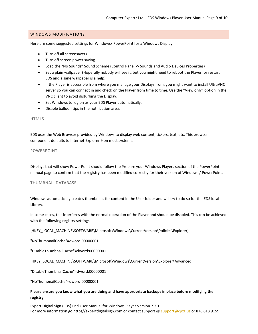#### <span id="page-8-0"></span>WINDOWS MODIFICATIONS

Here are some suggested settings for Windows/ PowerPoint for a Windows Display:

- Turn off all screensavers.
- Turn off screen power saving.
- Load the "No Sounds" Sound Scheme (Control Panel -> Sounds and Audio Devices Properties)
- Set a plain wallpaper (Hopefully nobody will see it, but you might need to reboot the Player, or restart EDS and a sane wallpaper is a help).
- If the Player is accessible from where you manage your Displays from, you might want to install UltraVNC server so you can connect in and check on the Player from time to time. Use the "View only" option in the VNC client to avoid disturbing the Display.
- Set Windows to log on as your EDS Player automatically.
- Disable balloon tips in the notification area.

#### HTML5

EDS uses the Web Browser provided by Windows to display web content, tickers, text, etc. This browser component defaults to Internet Explorer 9 on most systems.

#### POWERPOINT

Displays that will show PowerPoint should follow the Prepare your Windows Players section of the PowerPoint manual page to confirm that the registry has been modified correctly for their version of Windows / PowerPoint.

#### THUMBNAIL DATABASE

Windows automatically creates thumbnails for content in the User folder and will try to do so for the EDS local Library.

In some cases, this interferes with the normal operation of the Player and should be disabled. This can be achieved with the following registry settings.

[HKEY\_LOCAL\_MACHINE\SOFTWARE\Microsoft\Windows\CurrentVersion\Policies\Explorer]

"NoThumbnailCache"=dword:00000001

"DisableThumbnailCache"=dword:00000001

[HKEY\_LOCAL\_MACHINE\SOFTWARE\Microsoft\Windows\CurrentVersion\Explorer\Advanced]

"DisableThumbnailCache"=dword:00000001

"NoThumbnailCache"=dword:00000001

# **Please ensure you know what you are doing and have appropriate backups in place before modifying the registry**

Expert Digital Sign (EDS) End User Manual for Windows Player Version 2.2.1 For more information go https//expertdigitalsign.com or contact support @ support @cpxz.us or 876 613 9159